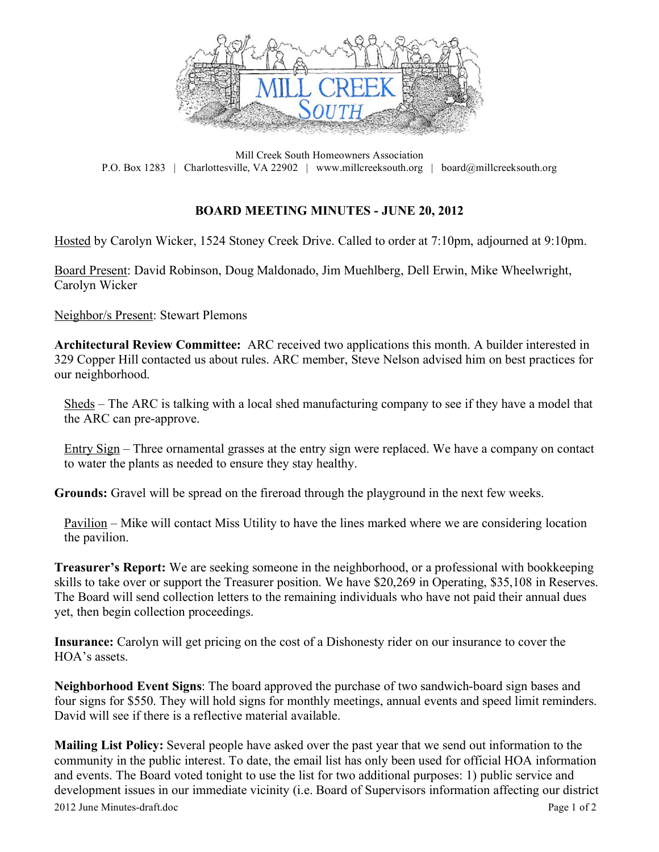

Mill Creek South Homeowners Association P.O. Box 1283 | Charlottesville, VA 22902 | www.millcreeksouth.org | board@millcreeksouth.org

## **BOARD MEETING MINUTES - JUNE 20, 2012**

Hosted by Carolyn Wicker, 1524 Stoney Creek Drive. Called to order at 7:10pm, adjourned at 9:10pm.

Board Present: David Robinson, Doug Maldonado, Jim Muehlberg, Dell Erwin, Mike Wheelwright, Carolyn Wicker

Neighbor/s Present: Stewart Plemons

**Architectural Review Committee:** ARC received two applications this month. A builder interested in 329 Copper Hill contacted us about rules. ARC member, Steve Nelson advised him on best practices for our neighborhood.

Sheds – The ARC is talking with a local shed manufacturing company to see if they have a model that the ARC can pre-approve.

Entry Sign – Three ornamental grasses at the entry sign were replaced. We have a company on contact to water the plants as needed to ensure they stay healthy.

**Grounds:** Gravel will be spread on the fireroad through the playground in the next few weeks.

Pavilion – Mike will contact Miss Utility to have the lines marked where we are considering location the pavilion.

**Treasurer's Report:** We are seeking someone in the neighborhood, or a professional with bookkeeping skills to take over or support the Treasurer position. We have \$20,269 in Operating, \$35,108 in Reserves. The Board will send collection letters to the remaining individuals who have not paid their annual dues yet, then begin collection proceedings.

**Insurance:** Carolyn will get pricing on the cost of a Dishonesty rider on our insurance to cover the HOA's assets.

**Neighborhood Event Signs**: The board approved the purchase of two sandwich-board sign bases and four signs for \$550. They will hold signs for monthly meetings, annual events and speed limit reminders. David will see if there is a reflective material available.

2012 June Minutes-draft.doc Page 1 of 2 **Mailing List Policy:** Several people have asked over the past year that we send out information to the community in the public interest. To date, the email list has only been used for official HOA information and events. The Board voted tonight to use the list for two additional purposes: 1) public service and development issues in our immediate vicinity (i.e. Board of Supervisors information affecting our district